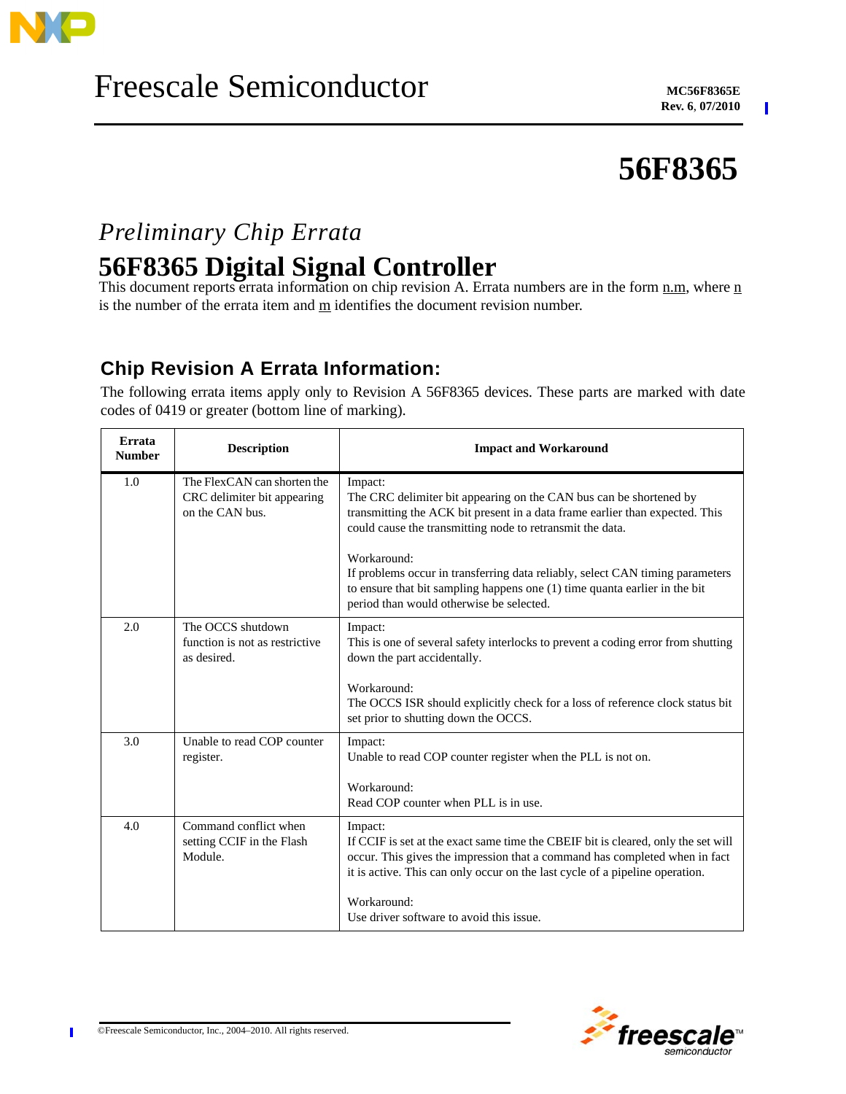

 $\blacksquare$ 

# **56F8365**

# *Preliminary Chip Errata* **56F8365 Digital Signal Controller**

This document reports errata information on chip revision A. Errata numbers are in the form  $\underline{n}.\underline{m}$ , where  $\underline{n}$ is the number of the errata item and  $\underline{m}$  identifies the document revision number.

## **Chip Revision A Errata Information:**

The following errata items apply only to Revision A 56F8365 devices. These parts are marked with date codes of 0419 or greater (bottom line of marking).

| Errata<br><b>Number</b> | <b>Description</b>                                                            | <b>Impact and Workaround</b>                                                                                                                                                                                                                               |
|-------------------------|-------------------------------------------------------------------------------|------------------------------------------------------------------------------------------------------------------------------------------------------------------------------------------------------------------------------------------------------------|
| 1.0                     | The FlexCAN can shorten the<br>CRC delimiter bit appearing<br>on the CAN bus. | Impact:<br>The CRC delimiter bit appearing on the CAN bus can be shortened by<br>transmitting the ACK bit present in a data frame earlier than expected. This<br>could cause the transmitting node to retransmit the data.                                 |
|                         |                                                                               | Workaround:<br>If problems occur in transferring data reliably, select CAN timing parameters<br>to ensure that bit sampling happens one $(1)$ time quanta earlier in the bit<br>period than would otherwise be selected.                                   |
| 2.0                     | The OCCS shutdown<br>function is not as restrictive<br>as desired.            | Impact:<br>This is one of several safety interlocks to prevent a coding error from shutting<br>down the part accidentally.                                                                                                                                 |
|                         |                                                                               | Workaround:<br>The OCCS ISR should explicitly check for a loss of reference clock status bit<br>set prior to shutting down the OCCS.                                                                                                                       |
| 3.0                     | Unable to read COP counter<br>register.                                       | Impact:<br>Unable to read COP counter register when the PLL is not on.                                                                                                                                                                                     |
|                         |                                                                               | Workaround:<br>Read COP counter when PLL is in use.                                                                                                                                                                                                        |
| 4.0                     | Command conflict when<br>setting CCIF in the Flash<br>Module.                 | Impact:<br>If CCIF is set at the exact same time the CBEIF bit is cleared, only the set will<br>occur. This gives the impression that a command has completed when in fact<br>it is active. This can only occur on the last cycle of a pipeline operation. |
|                         |                                                                               | Workaround:<br>Use driver software to avoid this issue.                                                                                                                                                                                                    |



Π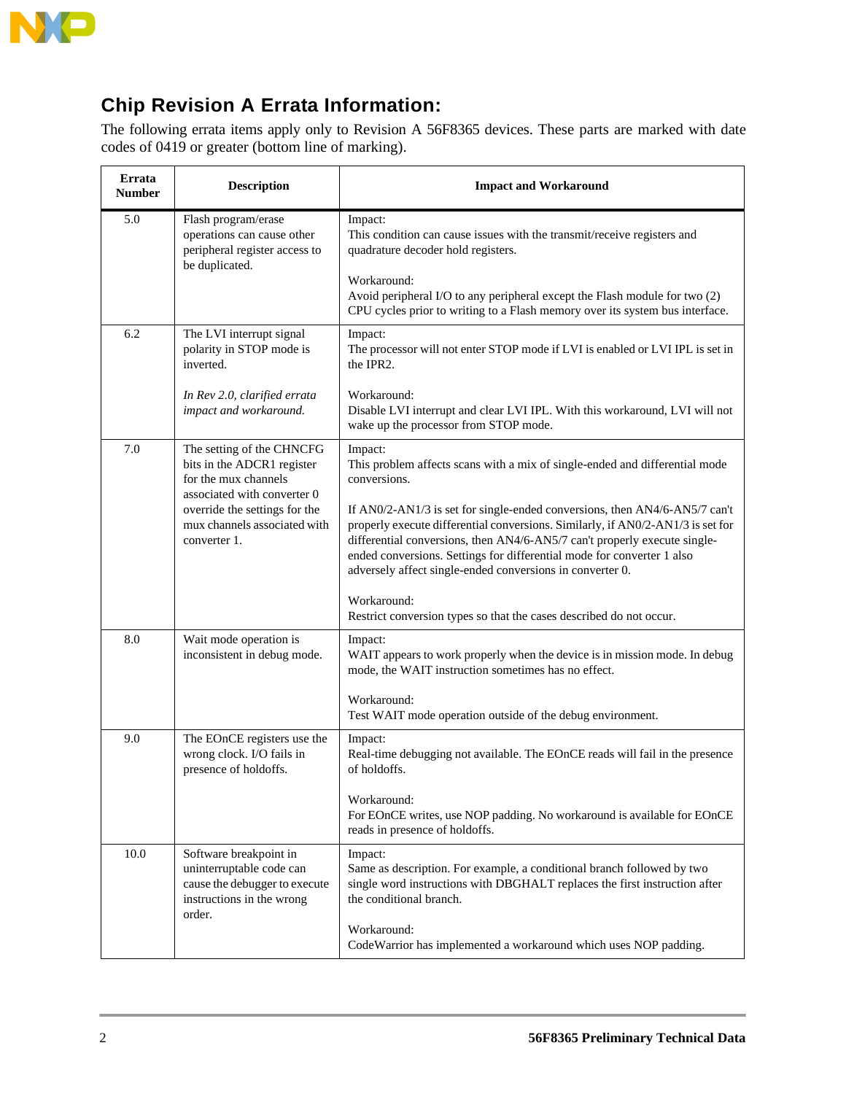

The following errata items apply only to Revision A 56F8365 devices. These parts are marked with date codes of 0419 or greater (bottom line of marking).

| Errata<br><b>Number</b> | <b>Description</b>                                                                                                         | <b>Impact and Workaround</b>                                                                                                                                                                                                                                                                                                                                                      |
|-------------------------|----------------------------------------------------------------------------------------------------------------------------|-----------------------------------------------------------------------------------------------------------------------------------------------------------------------------------------------------------------------------------------------------------------------------------------------------------------------------------------------------------------------------------|
| 5.0                     | Flash program/erase<br>operations can cause other<br>peripheral register access to<br>be duplicated.                       | Impact:<br>This condition can cause issues with the transmit/receive registers and<br>quadrature decoder hold registers.<br>Workaround:                                                                                                                                                                                                                                           |
|                         |                                                                                                                            | Avoid peripheral I/O to any peripheral except the Flash module for two (2)<br>CPU cycles prior to writing to a Flash memory over its system bus interface.                                                                                                                                                                                                                        |
| 6.2                     | The LVI interrupt signal<br>polarity in STOP mode is<br>inverted.                                                          | Impact:<br>The processor will not enter STOP mode if LVI is enabled or LVI IPL is set in<br>the IPR2.                                                                                                                                                                                                                                                                             |
|                         | In Rev 2.0, clarified errata<br>impact and workaround.                                                                     | Workaround:<br>Disable LVI interrupt and clear LVI IPL. With this workaround, LVI will not<br>wake up the processor from STOP mode.                                                                                                                                                                                                                                               |
| 7.0                     | The setting of the CHNCFG<br>bits in the ADCR1 register<br>for the mux channels<br>associated with converter 0             | Impact:<br>This problem affects scans with a mix of single-ended and differential mode<br>conversions.                                                                                                                                                                                                                                                                            |
|                         | override the settings for the<br>mux channels associated with<br>converter 1.                                              | If AN0/2-AN1/3 is set for single-ended conversions, then AN4/6-AN5/7 can't<br>properly execute differential conversions. Similarly, if AN0/2-AN1/3 is set for<br>differential conversions, then AN4/6-AN5/7 can't properly execute single-<br>ended conversions. Settings for differential mode for converter 1 also<br>adversely affect single-ended conversions in converter 0. |
|                         |                                                                                                                            | Workaround:<br>Restrict conversion types so that the cases described do not occur.                                                                                                                                                                                                                                                                                                |
| 8.0                     | Wait mode operation is<br>inconsistent in debug mode.                                                                      | Impact:<br>WAIT appears to work properly when the device is in mission mode. In debug<br>mode, the WAIT instruction sometimes has no effect.                                                                                                                                                                                                                                      |
|                         |                                                                                                                            | Workaround:<br>Test WAIT mode operation outside of the debug environment.                                                                                                                                                                                                                                                                                                         |
| 9.0                     | The EOnCE registers use the<br>wrong clock. I/O fails in<br>presence of holdoffs.                                          | Impact:<br>Real-time debugging not available. The EOnCE reads will fail in the presence<br>of holdoffs.                                                                                                                                                                                                                                                                           |
|                         |                                                                                                                            | Workaround:<br>For EOnCE writes, use NOP padding. No workaround is available for EOnCE<br>reads in presence of holdoffs.                                                                                                                                                                                                                                                          |
| 10.0                    | Software breakpoint in<br>uninterruptable code can<br>cause the debugger to execute<br>instructions in the wrong<br>order. | Impact:<br>Same as description. For example, a conditional branch followed by two<br>single word instructions with DBGHALT replaces the first instruction after<br>the conditional branch.                                                                                                                                                                                        |
|                         |                                                                                                                            | Workaround:<br>CodeWarrior has implemented a workaround which uses NOP padding.                                                                                                                                                                                                                                                                                                   |

 $\overline{\phantom{a}}$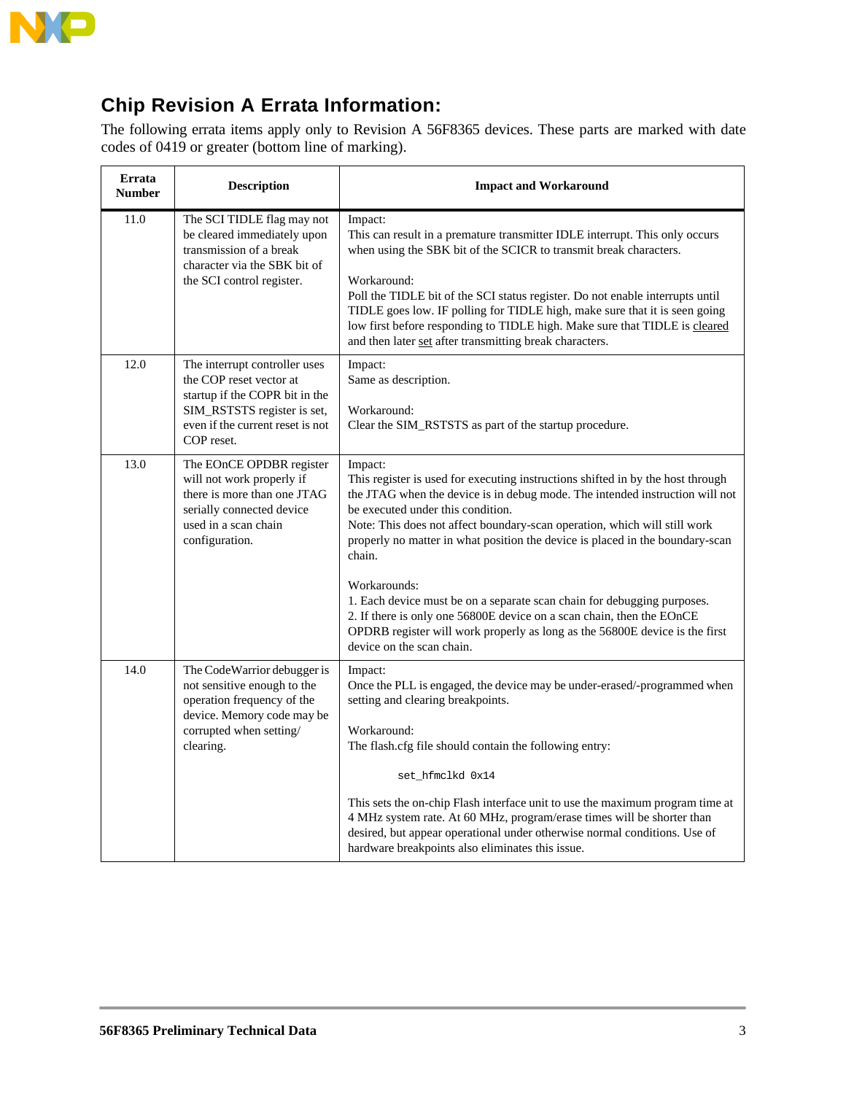

The following errata items apply only to Revision A 56F8365 devices. These parts are marked with date codes of 0419 or greater (bottom line of marking).

| Errata<br><b>Number</b> | <b>Description</b>                                                                                                                                                          | <b>Impact and Workaround</b>                                                                                                                                                                                                                                                                                                                                                                                                                                                                                                                                                                                                                                            |
|-------------------------|-----------------------------------------------------------------------------------------------------------------------------------------------------------------------------|-------------------------------------------------------------------------------------------------------------------------------------------------------------------------------------------------------------------------------------------------------------------------------------------------------------------------------------------------------------------------------------------------------------------------------------------------------------------------------------------------------------------------------------------------------------------------------------------------------------------------------------------------------------------------|
| 11.0                    | The SCI TIDLE flag may not<br>be cleared immediately upon<br>transmission of a break<br>character via the SBK bit of<br>the SCI control register.                           | Impact:<br>This can result in a premature transmitter IDLE interrupt. This only occurs<br>when using the SBK bit of the SCICR to transmit break characters.<br>Workaround:<br>Poll the TIDLE bit of the SCI status register. Do not enable interrupts until<br>TIDLE goes low. IF polling for TIDLE high, make sure that it is seen going<br>low first before responding to TIDLE high. Make sure that TIDLE is cleared<br>and then later set after transmitting break characters.                                                                                                                                                                                      |
| 12.0                    | The interrupt controller uses<br>the COP reset vector at<br>startup if the COPR bit in the<br>SIM_RSTSTS register is set,<br>even if the current reset is not<br>COP reset. | Impact:<br>Same as description.<br>Workaround:<br>Clear the SIM_RSTSTS as part of the startup procedure.                                                                                                                                                                                                                                                                                                                                                                                                                                                                                                                                                                |
| 13.0                    | The EOnCE OPDBR register<br>will not work properly if<br>there is more than one JTAG<br>serially connected device<br>used in a scan chain<br>configuration.                 | Impact:<br>This register is used for executing instructions shifted in by the host through<br>the JTAG when the device is in debug mode. The intended instruction will not<br>be executed under this condition.<br>Note: This does not affect boundary-scan operation, which will still work<br>properly no matter in what position the device is placed in the boundary-scan<br>chain.<br>Workarounds:<br>1. Each device must be on a separate scan chain for debugging purposes.<br>2. If there is only one 56800E device on a scan chain, then the EOnCE<br>OPDRB register will work properly as long as the 56800E device is the first<br>device on the scan chain. |
| 14.0                    | The CodeWarrior debugger is<br>not sensitive enough to the<br>operation frequency of the<br>device. Memory code may be<br>corrupted when setting/<br>clearing.              | Impact:<br>Once the PLL is engaged, the device may be under-erased/-programmed when<br>setting and clearing breakpoints.<br>Workaround:<br>The flash.cfg file should contain the following entry:<br>set_hfmclkd 0x14<br>This sets the on-chip Flash interface unit to use the maximum program time at<br>4 MHz system rate. At 60 MHz, program/erase times will be shorter than<br>desired, but appear operational under otherwise normal conditions. Use of<br>hardware breakpoints also eliminates this issue.                                                                                                                                                       |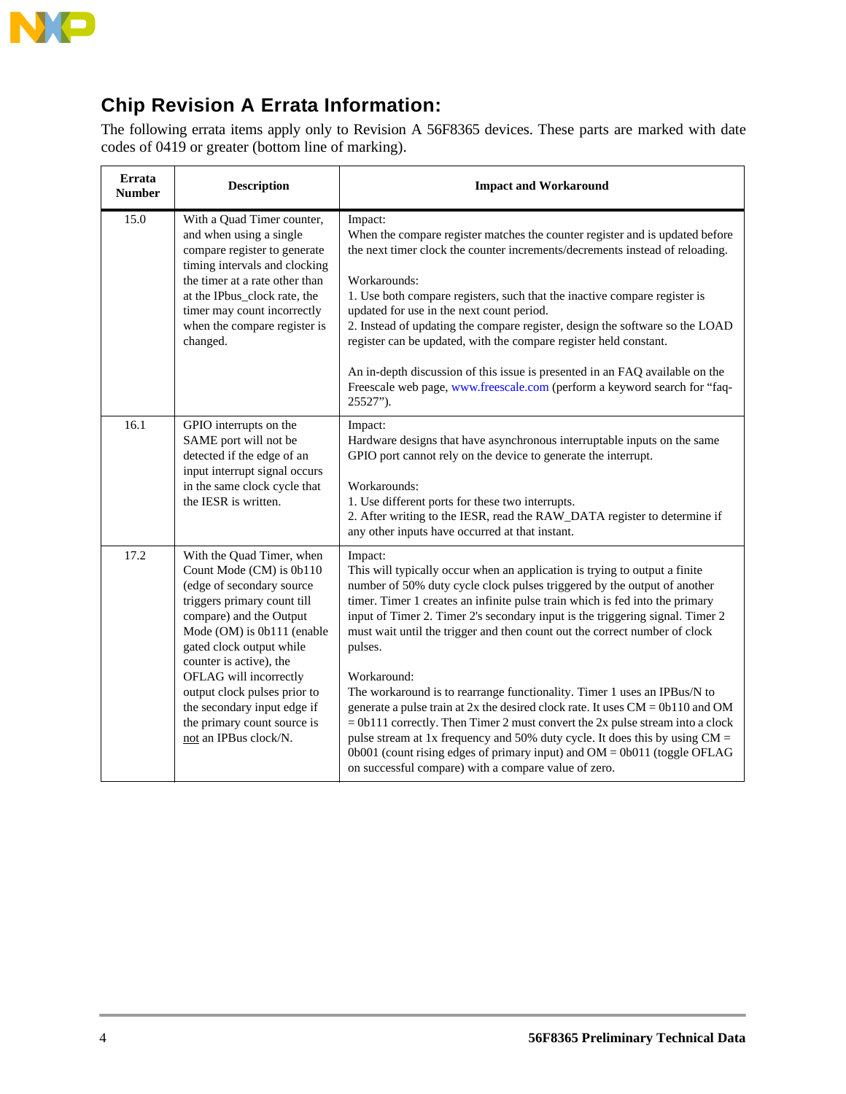

The following errata items apply only to Revision A 56F8365 devices. These parts are marked with date codes of 0419 or greater (bottom line of marking).

| Errata<br><b>Number</b> | <b>Description</b>                                                                                                                                                                                                                                                                                                                                                                 | <b>Impact and Workaround</b>                                                                                                                                                                                                                                                                                                                                                                                                                                                                                                                                                                                                                                                                                                                                                                                                                                                                                           |
|-------------------------|------------------------------------------------------------------------------------------------------------------------------------------------------------------------------------------------------------------------------------------------------------------------------------------------------------------------------------------------------------------------------------|------------------------------------------------------------------------------------------------------------------------------------------------------------------------------------------------------------------------------------------------------------------------------------------------------------------------------------------------------------------------------------------------------------------------------------------------------------------------------------------------------------------------------------------------------------------------------------------------------------------------------------------------------------------------------------------------------------------------------------------------------------------------------------------------------------------------------------------------------------------------------------------------------------------------|
| 15.0                    | With a Quad Timer counter,<br>and when using a single<br>compare register to generate<br>timing intervals and clocking<br>the timer at a rate other than<br>at the IPbus_clock rate, the<br>timer may count incorrectly<br>when the compare register is<br>changed.                                                                                                                | Impact:<br>When the compare register matches the counter register and is updated before<br>the next timer clock the counter increments/decrements instead of reloading.<br>Workarounds:<br>1. Use both compare registers, such that the inactive compare register is<br>updated for use in the next count period.<br>2. Instead of updating the compare register, design the software so the LOAD<br>register can be updated, with the compare register held constant.<br>An in-depth discussion of this issue is presented in an FAQ available on the<br>Freescale web page, www.freescale.com (perform a keyword search for "faq-<br>25527").                                                                                                                                                                                                                                                                        |
| 16.1                    | GPIO interrupts on the<br>SAME port will not be<br>detected if the edge of an<br>input interrupt signal occurs<br>in the same clock cycle that<br>the IESR is written.                                                                                                                                                                                                             | Impact:<br>Hardware designs that have asynchronous interruptable inputs on the same<br>GPIO port cannot rely on the device to generate the interrupt.<br>Workarounds:<br>1. Use different ports for these two interrupts.<br>2. After writing to the IESR, read the RAW_DATA register to determine if<br>any other inputs have occurred at that instant.                                                                                                                                                                                                                                                                                                                                                                                                                                                                                                                                                               |
| 17.2                    | With the Quad Timer, when<br>Count Mode (CM) is 0b110<br>(edge of secondary source<br>triggers primary count till<br>compare) and the Output<br>Mode (OM) is 0b111 (enable<br>gated clock output while<br>counter is active), the<br>OFLAG will incorrectly<br>output clock pulses prior to<br>the secondary input edge if<br>the primary count source is<br>not an IPBus clock/N. | Impact:<br>This will typically occur when an application is trying to output a finite<br>number of 50% duty cycle clock pulses triggered by the output of another<br>timer. Timer 1 creates an infinite pulse train which is fed into the primary<br>input of Timer 2. Timer 2's secondary input is the triggering signal. Timer 2<br>must wait until the trigger and then count out the correct number of clock<br>pulses.<br>Workaround:<br>The workaround is to rearrange functionality. Timer 1 uses an IPBus/N to<br>generate a pulse train at $2x$ the desired clock rate. It uses $CM = 0b110$ and OM<br>$= 0b111$ correctly. Then Timer 2 must convert the 2x pulse stream into a clock<br>pulse stream at 1x frequency and 50% duty cycle. It does this by using $CM =$<br>0b001 (count rising edges of primary input) and $OM = 0b011$ (toggle OFLAG<br>on successful compare) with a compare value of zero. |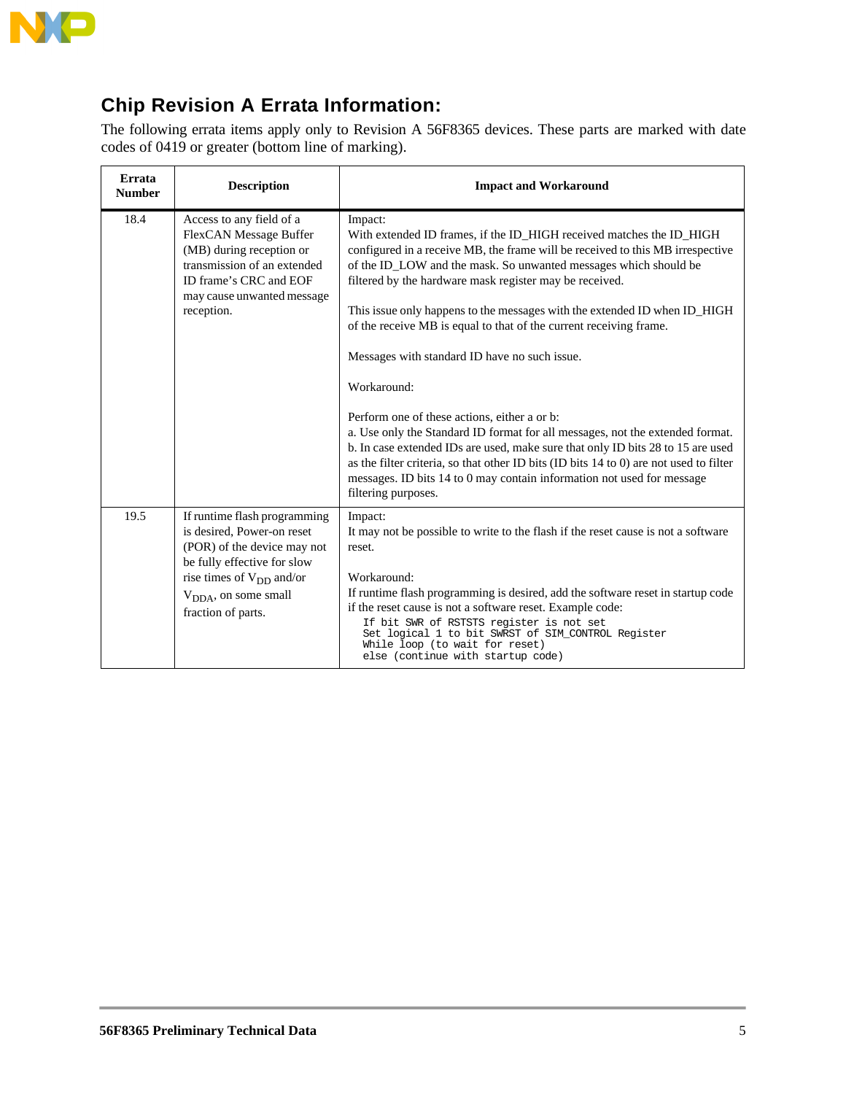

The following errata items apply only to Revision A 56F8365 devices. These parts are marked with date codes of 0419 or greater (bottom line of marking).

| Errata<br><b>Number</b> | <b>Description</b>                                                                                                                                                                                           | <b>Impact and Workaround</b>                                                                                                                                                                                                                                                                                                                                                                                                                                                                                                                                                                                                                                                                                                                                                                                                                                                                                                       |
|-------------------------|--------------------------------------------------------------------------------------------------------------------------------------------------------------------------------------------------------------|------------------------------------------------------------------------------------------------------------------------------------------------------------------------------------------------------------------------------------------------------------------------------------------------------------------------------------------------------------------------------------------------------------------------------------------------------------------------------------------------------------------------------------------------------------------------------------------------------------------------------------------------------------------------------------------------------------------------------------------------------------------------------------------------------------------------------------------------------------------------------------------------------------------------------------|
| 18.4                    | Access to any field of a<br>FlexCAN Message Buffer<br>(MB) during reception or<br>transmission of an extended<br>ID frame's CRC and EOF<br>may cause unwanted message<br>reception.                          | Impact:<br>With extended ID frames, if the ID_HIGH received matches the ID_HIGH<br>configured in a receive MB, the frame will be received to this MB irrespective<br>of the ID_LOW and the mask. So unwanted messages which should be<br>filtered by the hardware mask register may be received.<br>This issue only happens to the messages with the extended ID when ID_HIGH<br>of the receive MB is equal to that of the current receiving frame.<br>Messages with standard ID have no such issue.<br>Workaround:<br>Perform one of these actions, either a or b:<br>a. Use only the Standard ID format for all messages, not the extended format.<br>b. In case extended IDs are used, make sure that only ID bits 28 to 15 are used<br>as the filter criteria, so that other ID bits (ID bits 14 to 0) are not used to filter<br>messages. ID bits 14 to 0 may contain information not used for message<br>filtering purposes. |
| 19.5                    | If runtime flash programming<br>is desired, Power-on reset<br>(POR) of the device may not<br>be fully effective for slow<br>rise times of $V_{DD}$ and/or<br>$V_{DDA}$ , on some small<br>fraction of parts. | Impact:<br>It may not be possible to write to the flash if the reset cause is not a software<br>reset.<br>Workaround:<br>If runtime flash programming is desired, add the software reset in startup code<br>if the reset cause is not a software reset. Example code:<br>If bit SWR of RSTSTS register is not set<br>Set logical 1 to bit SWRST of SIM_CONTROL Register<br>While loop (to wait for reset)<br>else (continue with startup code)                                                                                                                                                                                                                                                                                                                                                                                                                                                                                     |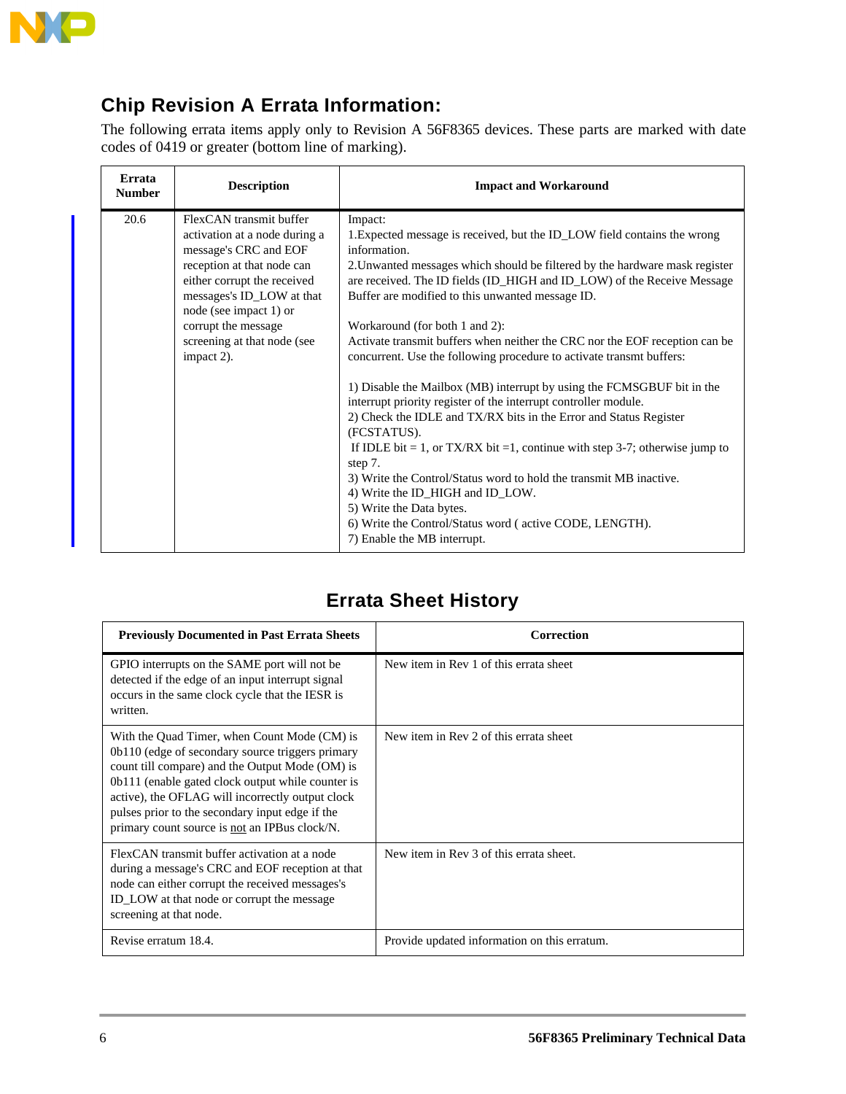

The following errata items apply only to Revision A 56F8365 devices. These parts are marked with date codes of 0419 or greater (bottom line of marking).

| Errata<br><b>Number</b> | <b>Description</b>                                                                                                                                                                                                                                                        | <b>Impact and Workaround</b>                                                                                                                                                                                                                                                                                                                                                                                                                                                                                                                                                                                                                                                                                                                                                                                                                                                                                                                                                                                                                                          |
|-------------------------|---------------------------------------------------------------------------------------------------------------------------------------------------------------------------------------------------------------------------------------------------------------------------|-----------------------------------------------------------------------------------------------------------------------------------------------------------------------------------------------------------------------------------------------------------------------------------------------------------------------------------------------------------------------------------------------------------------------------------------------------------------------------------------------------------------------------------------------------------------------------------------------------------------------------------------------------------------------------------------------------------------------------------------------------------------------------------------------------------------------------------------------------------------------------------------------------------------------------------------------------------------------------------------------------------------------------------------------------------------------|
| 20.6                    | FlexCAN transmit buffer<br>activation at a node during a<br>message's CRC and EOF<br>reception at that node can<br>either corrupt the received<br>messages's ID_LOW at that<br>node (see impact 1) or<br>corrupt the message<br>screening at that node (see<br>impact 2). | Impact:<br>1. Expected message is received, but the ID_LOW field contains the wrong<br>information.<br>2. Unwanted messages which should be filtered by the hardware mask register<br>are received. The ID fields (ID_HIGH and ID_LOW) of the Receive Message<br>Buffer are modified to this unwanted message ID.<br>Workaround (for both 1 and 2):<br>Activate transmit buffers when neither the CRC nor the EOF reception can be<br>concurrent. Use the following procedure to activate transmt buffers:<br>1) Disable the Mailbox (MB) interrupt by using the FCMSGBUF bit in the<br>interrupt priority register of the interrupt controller module.<br>2) Check the IDLE and TX/RX bits in the Error and Status Register<br>(FCSTATUS).<br>If IDLE bit = 1, or TX/RX bit =1, continue with step 3-7; otherwise jump to<br>step 7.<br>3) Write the Control/Status word to hold the transmit MB inactive.<br>4) Write the ID_HIGH and ID_LOW.<br>5) Write the Data bytes.<br>6) Write the Control/Status word (active CODE, LENGTH).<br>7) Enable the MB interrupt. |

### **Errata Sheet History**

| <b>Previously Documented in Past Errata Sheets</b>                                                                                                                                                                                                                                                                                                               | Correction                                   |
|------------------------------------------------------------------------------------------------------------------------------------------------------------------------------------------------------------------------------------------------------------------------------------------------------------------------------------------------------------------|----------------------------------------------|
| GPIO interrupts on the SAME port will not be.<br>detected if the edge of an input interrupt signal<br>occurs in the same clock cycle that the IESR is<br>written.                                                                                                                                                                                                | New item in Rev 1 of this errata sheet       |
| With the Quad Timer, when Count Mode (CM) is<br>0b110 (edge of secondary source triggers primary<br>count till compare) and the Output Mode (OM) is<br>0b111 (enable gated clock output while counter is<br>active), the OFLAG will incorrectly output clock<br>pulses prior to the secondary input edge if the<br>primary count source is not an IPBus clock/N. | New item in Rev 2 of this errata sheet       |
| FlexCAN transmit buffer activation at a node<br>during a message's CRC and EOF reception at that<br>node can either corrupt the received messages's<br>ID_LOW at that node or corrupt the message<br>screening at that node.                                                                                                                                     | New item in Rev 3 of this errata sheet.      |
| Revise erratum 18.4.                                                                                                                                                                                                                                                                                                                                             | Provide updated information on this erratum. |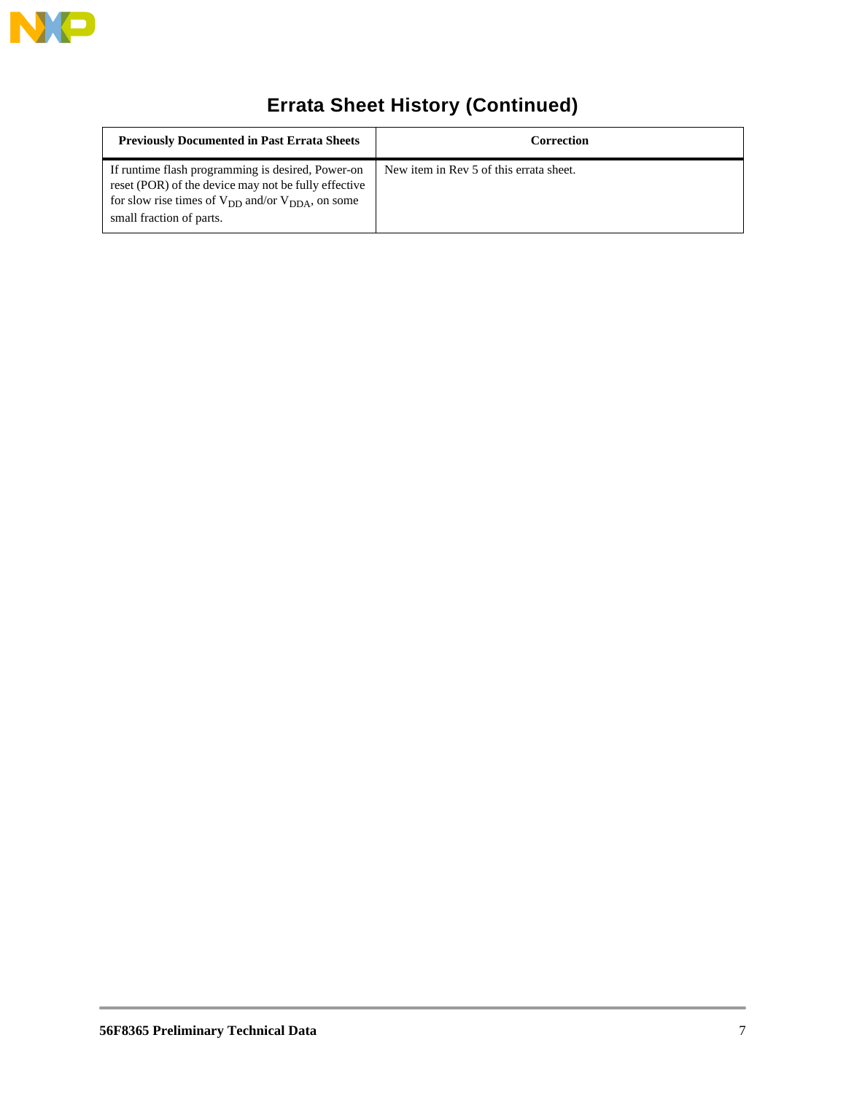

# **Errata Sheet History (Continued)**

| <b>Previously Documented in Past Errata Sheets</b>                                                                                                                                                  | Correction                              |
|-----------------------------------------------------------------------------------------------------------------------------------------------------------------------------------------------------|-----------------------------------------|
| If runtime flash programming is desired, Power-on<br>reset (POR) of the device may not be fully effective<br>for slow rise times of $V_{DD}$ and/or $V_{DDA}$ , on some<br>small fraction of parts. | New item in Rev 5 of this errata sheet. |